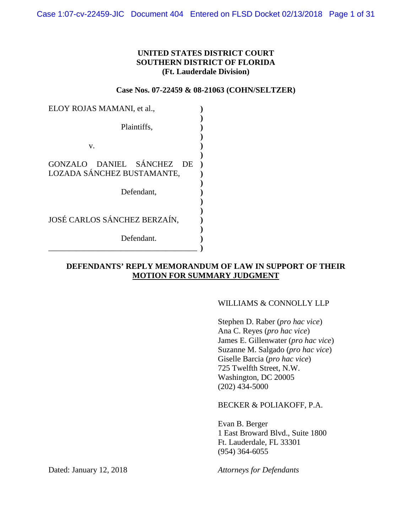## **UNITED STATES DISTRICT COURT SOUTHERN DISTRICT OF FLORIDA (Ft. Lauderdale Division)**

**Case Nos. 07-22459 & 08-21063 (COHN/SELTZER)**

| ELOY ROJAS MAMANI, et al.,   |  |  |  |
|------------------------------|--|--|--|
|                              |  |  |  |
| Plaintiffs,                  |  |  |  |
|                              |  |  |  |
| v.                           |  |  |  |
|                              |  |  |  |
| GONZALO DANIEL SÁNCHEZ<br>DE |  |  |  |
| LOZADA SÁNCHEZ BUSTAMANTE,   |  |  |  |
|                              |  |  |  |
| Defendant,                   |  |  |  |
|                              |  |  |  |
|                              |  |  |  |
| JOSÉ CARLOS SÁNCHEZ BERZAÍN, |  |  |  |
|                              |  |  |  |
| Defendant.                   |  |  |  |
|                              |  |  |  |

## **DEFENDANTS' REPLY MEMORANDUM OF LAW IN SUPPORT OF THEIR MOTION FOR SUMMARY JUDGMENT**

## WILLIAMS & CONNOLLY LLP

Stephen D. Raber (*pro hac vice*) Ana C. Reyes (*pro hac vice*) James E. Gillenwater (*pro hac vice*) Suzanne M. Salgado (*pro hac vice*) Giselle Barcia (*pro hac vice*) 725 Twelfth Street, N.W. Washington, DC 20005 (202) 434-5000

BECKER & POLIAKOFF, P.A.

Evan B. Berger 1 East Broward Blvd., Suite 1800 Ft. Lauderdale, FL 33301 (954) 364-6055

Dated: January 12, 2018 *Attorneys for Defendants*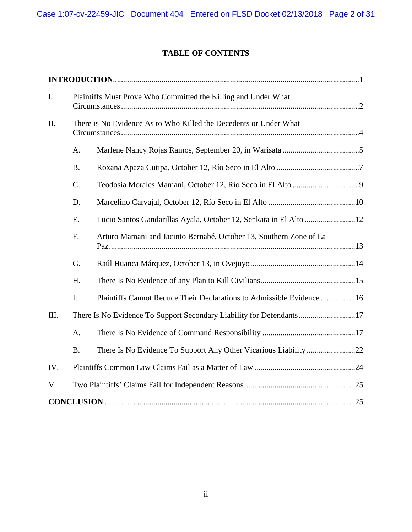# **TABLE OF CONTENTS**

| I.   | Plaintiffs Must Prove Who Committed the Killing and Under What |                                                                       |  |  |
|------|----------------------------------------------------------------|-----------------------------------------------------------------------|--|--|
| Π.   |                                                                | There is No Evidence As to Who Killed the Decedents or Under What     |  |  |
|      | A.                                                             |                                                                       |  |  |
|      | <b>B.</b>                                                      |                                                                       |  |  |
|      | C.                                                             |                                                                       |  |  |
|      | D.                                                             |                                                                       |  |  |
|      | E.                                                             | Lucio Santos Gandarillas Ayala, October 12, Senkata in El Alto 12     |  |  |
|      | F.                                                             | Arturo Mamani and Jacinto Bernabé, October 13, Southern Zone of La    |  |  |
|      | G.                                                             |                                                                       |  |  |
|      | H.                                                             |                                                                       |  |  |
|      | I.                                                             | Plaintiffs Cannot Reduce Their Declarations to Admissible Evidence 16 |  |  |
| III. |                                                                | There Is No Evidence To Support Secondary Liability for Defendants17  |  |  |
|      | A.                                                             |                                                                       |  |  |
|      | <b>B.</b>                                                      |                                                                       |  |  |
| IV.  |                                                                |                                                                       |  |  |
| V.   |                                                                |                                                                       |  |  |
|      |                                                                |                                                                       |  |  |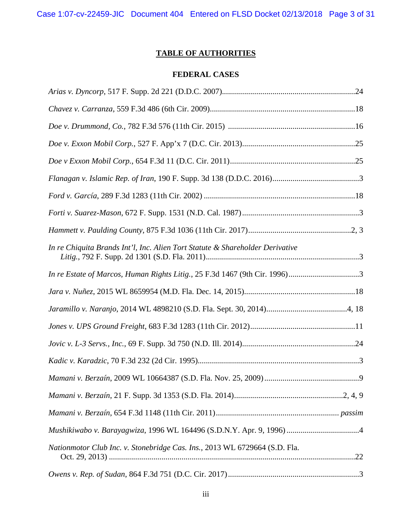Case 1:07-cv-22459-JIC Document 404 Entered on FLSD Docket 02/13/2018 Page 3 of 31

# **TABLE OF AUTHORITIES**

## **FEDERAL CASES**

| In re Chiquita Brands Int'l, Inc. Alien Tort Statute & Shareholder Derivative |
|-------------------------------------------------------------------------------|
| In re Estate of Marcos, Human Rights Litig., 25 F.3d 1467 (9th Cir. 1996)3    |
|                                                                               |
|                                                                               |
|                                                                               |
|                                                                               |
|                                                                               |
|                                                                               |
|                                                                               |
|                                                                               |
|                                                                               |
| Nationmotor Club Inc. v. Stonebridge Cas. Ins., 2013 WL 6729664 (S.D. Fla.    |
|                                                                               |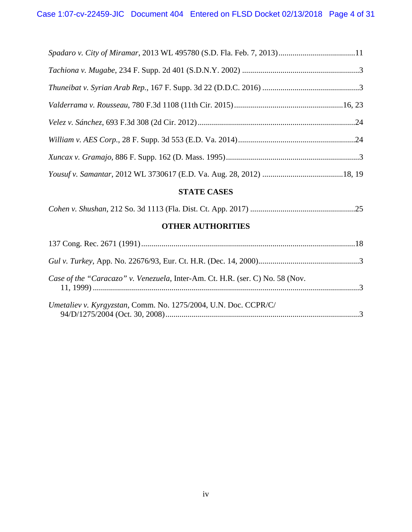| Spadaro v. City of Miramar, 2013 WL 495780 (S.D. Fla. Feb. 7, 2013)11 |  |
|-----------------------------------------------------------------------|--|
|                                                                       |  |
|                                                                       |  |
|                                                                       |  |
|                                                                       |  |
|                                                                       |  |
|                                                                       |  |
|                                                                       |  |

## **STATE CASES**

|--|--|--|--|

## **OTHER AUTHORITIES**

| Case of the "Caracazo" v. Venezuela, Inter-Am. Ct. H.R. (ser. C) No. 58 (Nov. |  |
|-------------------------------------------------------------------------------|--|
| Umetaliev v. Kyrgyzstan, Comm. No. 1275/2004, U.N. Doc. CCPR/C/               |  |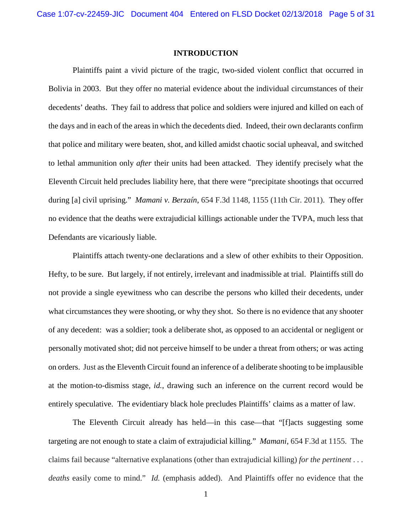#### **INTRODUCTION**

<span id="page-4-0"></span>Plaintiffs paint a vivid picture of the tragic, two-sided violent conflict that occurred in Bolivia in 2003. But they offer no material evidence about the individual circumstances of their decedents' deaths. They fail to address that police and soldiers were injured and killed on each of the days and in each of the areas in which the decedents died. Indeed, their own declarants confirm that police and military were beaten, shot, and killed amidst chaotic social upheaval, and switched to lethal ammunition only *after* their units had been attacked. They identify precisely what the Eleventh Circuit held precludes liability here, that there were "precipitate shootings that occurred during [a] civil uprising." *Mamani v. Berzaín*, 654 F.3d 1148, 1155 (11th Cir. 2011). They offer no evidence that the deaths were extrajudicial killings actionable under the TVPA, much less that Defendants are vicariously liable.

Plaintiffs attach twenty-one declarations and a slew of other exhibits to their Opposition. Hefty, to be sure. But largely, if not entirely, irrelevant and inadmissible at trial. Plaintiffs still do not provide a single eyewitness who can describe the persons who killed their decedents, under what circumstances they were shooting, or why they shot. So there is no evidence that any shooter of any decedent: was a soldier; took a deliberate shot, as opposed to an accidental or negligent or personally motivated shot; did not perceive himself to be under a threat from others; or was acting on orders. Just as the Eleventh Circuit found an inference of a deliberate shooting to be implausible at the motion-to-dismiss stage, *id.*, drawing such an inference on the current record would be entirely speculative. The evidentiary black hole precludes Plaintiffs' claims as a matter of law.

The Eleventh Circuit already has held—in this case—that "[f]acts suggesting some targeting are not enough to state a claim of extrajudicial killing." *Mamani*, 654 F.3d at 1155. The claims fail because "alternative explanations (other than extrajudicial killing) *for the pertinent . . . deaths* easily come to mind." *Id.* (emphasis added). And Plaintiffs offer no evidence that the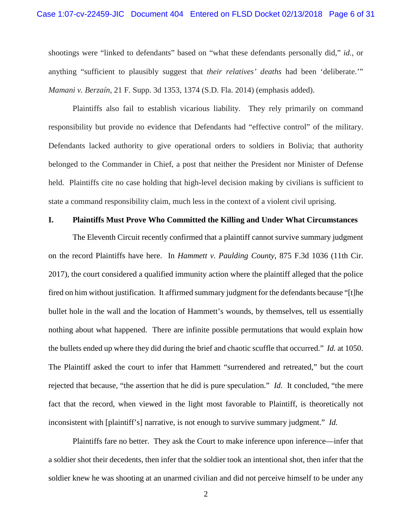shootings were "linked to defendants" based on "what these defendants personally did," *id.*, or anything "sufficient to plausibly suggest that *their relatives' deaths* had been 'deliberate.'" *Mamani v. Berzaín*, 21 F. Supp. 3d 1353, 1374 (S.D. Fla. 2014) (emphasis added).

Plaintiffs also fail to establish vicarious liability. They rely primarily on command responsibility but provide no evidence that Defendants had "effective control" of the military. Defendants lacked authority to give operational orders to soldiers in Bolivia; that authority belonged to the Commander in Chief, a post that neither the President nor Minister of Defense held. Plaintiffs cite no case holding that high-level decision making by civilians is sufficient to state a command responsibility claim, much less in the context of a violent civil uprising.

#### <span id="page-5-0"></span>**I. Plaintiffs Must Prove Who Committed the Killing and Under What Circumstances**

The Eleventh Circuit recently confirmed that a plaintiff cannot survive summary judgment on the record Plaintiffs have here. In *Hammett v. Paulding County*, 875 F.3d 1036 (11th Cir. 2017), the court considered a qualified immunity action where the plaintiff alleged that the police fired on him without justification. It affirmed summary judgment for the defendants because "[t]he bullet hole in the wall and the location of Hammett's wounds, by themselves, tell us essentially nothing about what happened. There are infinite possible permutations that would explain how the bullets ended up where they did during the brief and chaotic scuffle that occurred." *Id.* at 1050. The Plaintiff asked the court to infer that Hammett "surrendered and retreated," but the court rejected that because, "the assertion that he did is pure speculation." *Id*. It concluded, "the mere fact that the record, when viewed in the light most favorable to Plaintiff, is theoretically not inconsistent with [plaintiff's] narrative, is not enough to survive summary judgment." *Id.* 

Plaintiffs fare no better. They ask the Court to make inference upon inference—infer that a soldier shot their decedents, then infer that the soldier took an intentional shot, then infer that the soldier knew he was shooting at an unarmed civilian and did not perceive himself to be under any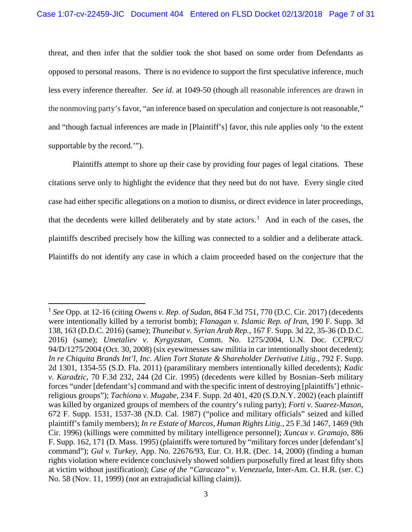threat, and then infer that the soldier took the shot based on some order from Defendants as opposed to personal reasons. There is no evidence to support the first speculative inference, much less every inference thereafter. *See id*. at 1049-50 (though all reasonable inferences are drawn in the nonmoving party's favor, "an inference based on speculation and conjecture is not reasonable," and "though factual inferences are made in [Plaintiff's] favor, this rule applies only 'to the extent supportable by the record.'").

Plaintiffs attempt to shore up their case by providing four pages of legal citations. These citations serve only to highlight the evidence that they need but do not have. Every single cited case had either specific allegations on a motion to dismiss, or direct evidence in later proceedings, that the decedents were killed deliberately and by state actors.<sup>[1](#page-6-0)</sup> And in each of the cases, the plaintiffs described precisely how the killing was connected to a soldier and a deliberate attack. Plaintiffs do not identify any case in which a claim proceeded based on the conjecture that the

<span id="page-6-0"></span> <sup>1</sup> *See* Opp. at 12-16 (citing *Owens v. Rep. of Sudan*, 864 F.3d 751, 770 (D.C. Cir. 2017) (decedents were intentionally killed by a terrorist bomb); *Flanagan v. Islamic Rep. of Iran*, 190 F. Supp. 3d 138, 163 (D.D.C. 2016) (same); *Thuneibat v. Syrian Arab Rep.*, 167 F. Supp. 3d 22, 35-36 (D.D.C. 2016) (same); *Umetaliev v. Kyrgyzstan*, Comm. No. 1275/2004, U.N. Doc. CCPR/C/ 94/D/1275/2004 (Oct. 30, 2008) (six eyewitnesses saw militia in car intentionally shoot decedent); *In re Chiquita Brands Int'l, Inc. Alien Tort Statute & Shareholder Derivative Litig.*, 792 F. Supp. 2d 1301, 1354-55 (S.D. Fla. 2011) (paramilitary members intentionally killed decedents); *Kadic v. Karadzic*, 70 F.3d 232, 244 (2d Cir. 1995) (decedents were killed by Bosnian–Serb military forces "under [defendant's] command and with the specific intent of destroying [plaintiffs'] ethnicreligious groups"); *Tachiona v. Mugabe*, 234 F. Supp. 2d 401, 420 (S.D.N.Y. 2002) (each plaintiff was killed by organized groups of members of the country's ruling party); *Forti v. Suarez-Mason*, 672 F. Supp. 1531, 1537-38 (N.D. Cal. 1987) ("police and military officials" seized and killed plaintiff's family members); *In re Estate of Marcos, Human Rights Litig.*, 25 F.3d 1467, 1469 (9th Cir. 1996) (killings were committed by military intelligence personnel); *Xuncax v. Gramajo*, 886 F. Supp. 162, 171 (D. Mass. 1995) (plaintiffs were tortured by "military forces under [defendant's] command"); *Gul v. Turkey*, App. No. 22676/93, Eur. Ct. H.R. (Dec. 14, 2000) (finding a human rights violation where evidence conclusively showed soldiers purposefully fired at least fifty shots at victim without justification); *Case of the "Caracazo" v. Venezuela*, Inter-Am. Ct. H.R. (ser. C) No. 58 (Nov. 11, 1999) (not an extrajudicial killing claim)).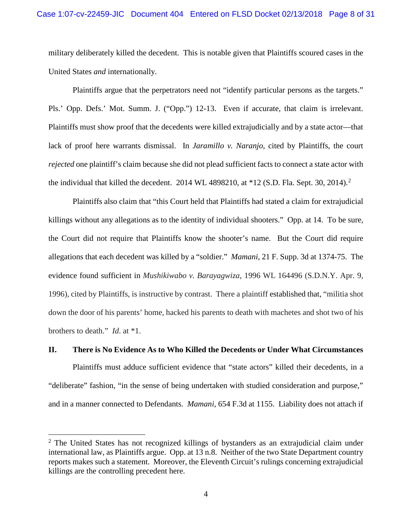military deliberately killed the decedent. This is notable given that Plaintiffs scoured cases in the United States *and* internationally.

Plaintiffs argue that the perpetrators need not "identify particular persons as the targets." Pls.' Opp. Defs.' Mot. Summ. J. ("Opp.") 12-13. Even if accurate, that claim is irrelevant. Plaintiffs must show proof that the decedents were killed extrajudicially and by a state actor—that lack of proof here warrants dismissal. In *Jaramillo v. Naranjo*, cited by Plaintiffs, the court *rejected* one plaintiff's claim because she did not plead sufficient facts to connect a state actor with the individual that killed the decedent. [2](#page-7-1)014 WL 4898210, at  $*12$  (S.D. Fla. Sept. 30, 2014).<sup>2</sup>

Plaintiffs also claim that "this Court held that Plaintiffs had stated a claim for extrajudicial killings without any allegations as to the identity of individual shooters." Opp. at 14. To be sure, the Court did not require that Plaintiffs know the shooter's name. But the Court did require allegations that each decedent was killed by a "soldier." *Mamani*, 21 F. Supp. 3d at 1374-75. The evidence found sufficient in *Mushikiwabo v. Barayagwiza*, 1996 WL 164496 (S.D.N.Y. Apr. 9, 1996), cited by Plaintiffs, is instructive by contrast. There a plaintiff established that, "militia shot down the door of his parents' home, hacked his parents to death with machetes and shot two of his brothers to death." *Id*. at \*1.

#### <span id="page-7-0"></span>**II. There is No Evidence As to Who Killed the Decedents or Under What Circumstances**

Plaintiffs must adduce sufficient evidence that "state actors" killed their decedents, in a "deliberate" fashion, "in the sense of being undertaken with studied consideration and purpose," and in a manner connected to Defendants. *Mamani*, 654 F.3d at 1155. Liability does not attach if

<span id="page-7-1"></span> $2$  The United States has not recognized killings of bystanders as an extrajudicial claim under international law, as Plaintiffs argue. Opp. at 13 n.8. Neither of the two State Department country reports makes such a statement. Moreover, the Eleventh Circuit's rulings concerning extrajudicial killings are the controlling precedent here.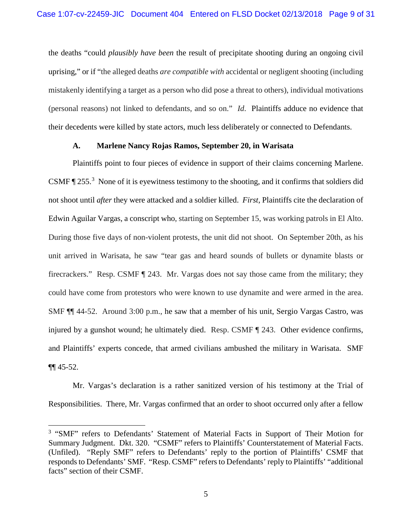the deaths "could *plausibly have been* the result of precipitate shooting during an ongoing civil uprising," or if "the alleged deaths *are compatible with* accidental or negligent shooting (including mistakenly identifying a target as a person who did pose a threat to others), individual motivations (personal reasons) not linked to defendants, and so on." *Id*. Plaintiffs adduce no evidence that their decedents were killed by state actors, much less deliberately or connected to Defendants.

#### **A. Marlene Nancy Rojas Ramos, September 20, in Warisata**

<span id="page-8-0"></span>Plaintiffs point to four pieces of evidence in support of their claims concerning Marlene. CSMF  $\P$  255.<sup>[3](#page-8-1)</sup> None of it is eyewitness testimony to the shooting, and it confirms that soldiers did not shoot until *after* they were attacked and a soldier killed. *First*, Plaintiffs cite the declaration of Edwin Aguilar Vargas, a conscript who, starting on September 15, was working patrols in El Alto. During those five days of non-violent protests, the unit did not shoot. On September 20th, as his unit arrived in Warisata, he saw "tear gas and heard sounds of bullets or dynamite blasts or firecrackers." Resp. CSMF ¶ 243. Mr. Vargas does not say those came from the military; they could have come from protestors who were known to use dynamite and were armed in the area. SMF ¶¶ 44-52. Around 3:00 p.m., he saw that a member of his unit, Sergio Vargas Castro, was injured by a gunshot wound; he ultimately died. Resp. CSMF ¶ 243. Other evidence confirms, and Plaintiffs' experts concede, that armed civilians ambushed the military in Warisata. SMF  $\P\P$  45-52.

Mr. Vargas's declaration is a rather sanitized version of his testimony at the Trial of Responsibilities. There, Mr. Vargas confirmed that an order to shoot occurred only after a fellow

<span id="page-8-1"></span><sup>&</sup>lt;sup>3</sup> "SMF" refers to Defendants' Statement of Material Facts in Support of Their Motion for Summary Judgment. Dkt. 320. "CSMF" refers to Plaintiffs' Counterstatement of Material Facts. (Unfiled). "Reply SMF" refers to Defendants' reply to the portion of Plaintiffs' CSMF that responds to Defendants' SMF. "Resp. CSMF" refers to Defendants' reply to Plaintiffs' "additional facts" section of their CSMF.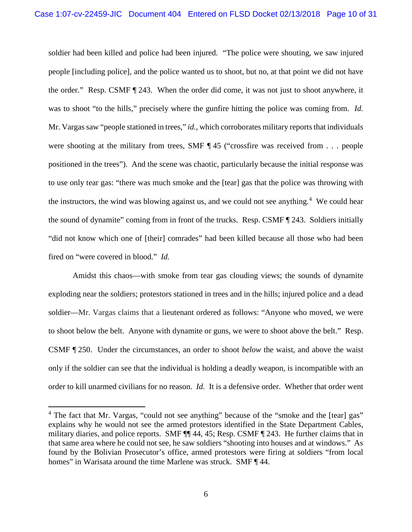soldier had been killed and police had been injured. "The police were shouting, we saw injured people [including police], and the police wanted us to shoot, but no, at that point we did not have the order." Resp. CSMF ¶ 243. When the order did come, it was not just to shoot anywhere, it was to shoot "to the hills," precisely where the gunfire hitting the police was coming from. *Id.* Mr. Vargas saw "people stationed in trees," *id.*, which corroborates military reports that individuals were shooting at the military from trees, SMF  $\P$ 45 ("crossfire was received from . . . people positioned in the trees"). And the scene was chaotic, particularly because the initial response was to use only tear gas: "there was much smoke and the [tear] gas that the police was throwing with the instructors, the wind was blowing against us, and we could not see anything.<sup>[4](#page-9-0)</sup> We could hear the sound of dynamite" coming from in front of the trucks. Resp. CSMF ¶ 243. Soldiers initially "did not know which one of [their] comrades" had been killed because all those who had been fired on "were covered in blood." *Id.*

Amidst this chaos—with smoke from tear gas clouding views; the sounds of dynamite exploding near the soldiers; protestors stationed in trees and in the hills; injured police and a dead soldier—Mr. Vargas claims that a lieutenant ordered as follows: "Anyone who moved, we were to shoot below the belt. Anyone with dynamite or guns, we were to shoot above the belt." Resp. CSMF ¶ 250. Under the circumstances, an order to shoot *below* the waist, and above the waist only if the soldier can see that the individual is holding a deadly weapon, is incompatible with an order to kill unarmed civilians for no reason. *Id.* It is a defensive order. Whether that order went

<span id="page-9-0"></span><sup>&</sup>lt;sup>4</sup> The fact that Mr. Vargas, "could not see anything" because of the "smoke and the [tear] gas" explains why he would not see the armed protestors identified in the State Department Cables, military diaries, and police reports. SMF ¶¶ 44, 45; Resp. CSMF ¶ 243. He further claims that in that same area where he could not see, he saw soldiers "shooting into houses and at windows." As found by the Bolivian Prosecutor's office, armed protestors were firing at soldiers "from local homes" in Warisata around the time Marlene was struck. SMF ¶ 44.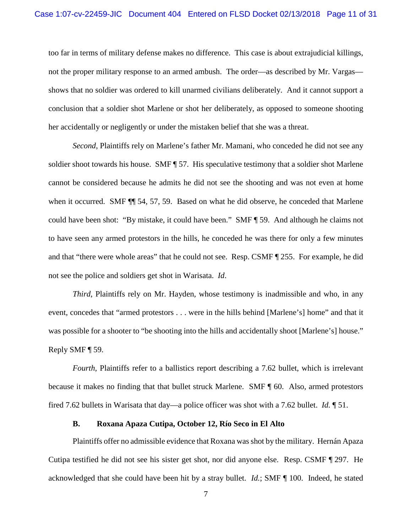too far in terms of military defense makes no difference. This case is about extrajudicial killings, not the proper military response to an armed ambush. The order—as described by Mr. Vargas shows that no soldier was ordered to kill unarmed civilians deliberately. And it cannot support a conclusion that a soldier shot Marlene or shot her deliberately, as opposed to someone shooting her accidentally or negligently or under the mistaken belief that she was a threat.

*Second*, Plaintiffs rely on Marlene's father Mr. Mamani, who conceded he did not see any soldier shoot towards his house. SMF ¶ 57. His speculative testimony that a soldier shot Marlene cannot be considered because he admits he did not see the shooting and was not even at home when it occurred. SMF  $\P$  54, 57, 59. Based on what he did observe, he conceded that Marlene could have been shot: "By mistake, it could have been." SMF ¶ 59. And although he claims not to have seen any armed protestors in the hills, he conceded he was there for only a few minutes and that "there were whole areas" that he could not see. Resp. CSMF ¶ 255. For example, he did not see the police and soldiers get shot in Warisata. *Id*.

*Third*, Plaintiffs rely on Mr. Hayden, whose testimony is inadmissible and who, in any event, concedes that "armed protestors . . . were in the hills behind [Marlene's] home" and that it was possible for a shooter to "be shooting into the hills and accidentally shoot [Marlene's] house." Reply SMF ¶ 59.

*Fourth*, Plaintiffs refer to a ballistics report describing a 7.62 bullet, which is irrelevant because it makes no finding that that bullet struck Marlene. SMF ¶ 60. Also, armed protestors fired 7.62 bullets in Warisata that day—a police officer was shot with a 7.62 bullet. *Id.* ¶ 51.

#### **B. Roxana Apaza Cutipa, October 12, Río Seco in El Alto**

<span id="page-10-0"></span>Plaintiffs offer no admissible evidence that Roxana was shot by the military. Hernán Apaza Cutipa testified he did not see his sister get shot, nor did anyone else. Resp. CSMF ¶ 297. He acknowledged that she could have been hit by a stray bullet. *Id.*; SMF ¶ 100. Indeed, he stated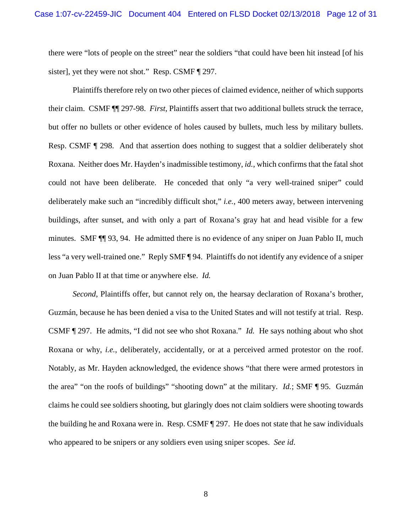there were "lots of people on the street" near the soldiers "that could have been hit instead [of his sister], yet they were not shot." Resp. CSMF [297.]

Plaintiffs therefore rely on two other pieces of claimed evidence, neither of which supports their claim. CSMF ¶¶ 297-98. *First*, Plaintiffs assert that two additional bullets struck the terrace, but offer no bullets or other evidence of holes caused by bullets, much less by military bullets. Resp. CSMF ¶ 298. And that assertion does nothing to suggest that a soldier deliberately shot Roxana. Neither does Mr. Hayden's inadmissible testimony, *id.*, which confirms that the fatal shot could not have been deliberate. He conceded that only "a very well-trained sniper" could deliberately make such an "incredibly difficult shot," *i.e.*, 400 meters away, between intervening buildings, after sunset, and with only a part of Roxana's gray hat and head visible for a few minutes. SMF ¶¶ 93, 94. He admitted there is no evidence of any sniper on Juan Pablo II, much less "a very well-trained one." Reply SMF ¶ 94. Plaintiffs do not identify any evidence of a sniper on Juan Pablo II at that time or anywhere else. *Id.*

*Second*, Plaintiffs offer, but cannot rely on, the hearsay declaration of Roxana's brother, Guzmán, because he has been denied a visa to the United States and will not testify at trial. Resp. CSMF ¶ 297. He admits, "I did not see who shot Roxana." *Id.* He says nothing about who shot Roxana or why, *i.e.*, deliberately, accidentally, or at a perceived armed protestor on the roof. Notably, as Mr. Hayden acknowledged, the evidence shows "that there were armed protestors in the area" "on the roofs of buildings" "shooting down" at the military. *Id.*; SMF ¶ 95. Guzmán claims he could see soldiers shooting, but glaringly does not claim soldiers were shooting towards the building he and Roxana were in. Resp. CSMF ¶ 297. He does not state that he saw individuals who appeared to be snipers or any soldiers even using sniper scopes. *See id*.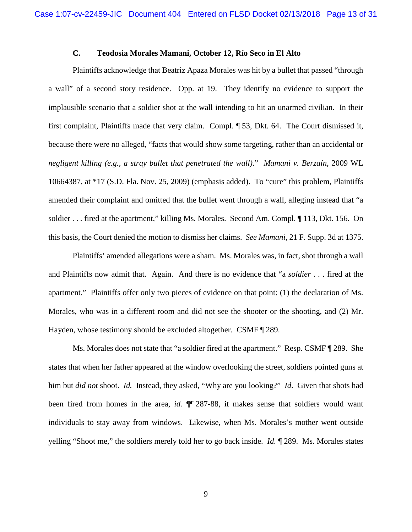## **C. Teodosia Morales Mamani, October 12, Río Seco in El Alto**

<span id="page-12-0"></span>Plaintiffs acknowledge that Beatriz Apaza Morales was hit by a bullet that passed "through a wall" of a second story residence. Opp. at 19. They identify no evidence to support the implausible scenario that a soldier shot at the wall intending to hit an unarmed civilian. In their first complaint, Plaintiffs made that very claim. Compl. ¶ 53, Dkt. 64. The Court dismissed it, because there were no alleged, "facts that would show some targeting, rather than an accidental or *negligent killing (e.g., a stray bullet that penetrated the wall)*." *Mamani v. Berzaín*, 2009 WL 10664387, at \*17 (S.D. Fla. Nov. 25, 2009) (emphasis added). To "cure" this problem, Plaintiffs amended their complaint and omitted that the bullet went through a wall, alleging instead that "a soldier . . . fired at the apartment," killing Ms. Morales. Second Am. Compl. ¶ 113, Dkt. 156. On this basis, the Court denied the motion to dismiss her claims. *See Mamani*, 21 F. Supp. 3d at 1375.

Plaintiffs' amended allegations were a sham. Ms. Morales was, in fact, shot through a wall and Plaintiffs now admit that. Again. And there is no evidence that "a *soldier* . . . fired at the apartment." Plaintiffs offer only two pieces of evidence on that point: (1) the declaration of Ms. Morales, who was in a different room and did not see the shooter or the shooting, and (2) Mr. Hayden, whose testimony should be excluded altogether. CSMF ¶ 289.

Ms. Morales does not state that "a soldier fired at the apartment." Resp. CSMF ¶ 289. She states that when her father appeared at the window overlooking the street, soldiers pointed guns at him but *did not* shoot. *Id.* Instead, they asked, "Why are you looking?" *Id*. Given that shots had been fired from homes in the area, *id.* ¶¶ 287-88, it makes sense that soldiers would want individuals to stay away from windows. Likewise, when Ms. Morales's mother went outside yelling "Shoot me," the soldiers merely told her to go back inside. *Id.* ¶ 289. Ms. Morales states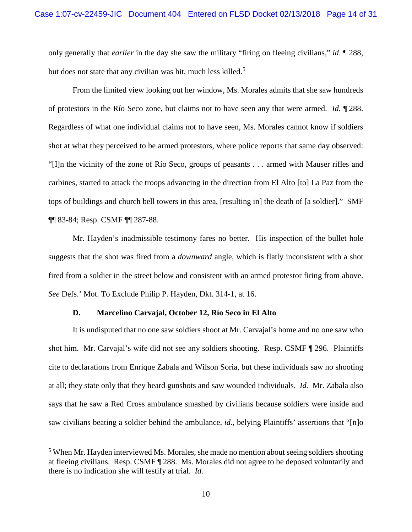only generally that *earlier* in the day she saw the military "firing on fleeing civilians," *id*. ¶ 288, but does not state that any civilian was hit, much less killed.<sup>[5](#page-13-1)</sup>

From the limited view looking out her window, Ms. Morales admits that she saw hundreds of protestors in the Río Seco zone, but claims not to have seen any that were armed. *Id.* ¶ 288. Regardless of what one individual claims not to have seen, Ms. Morales cannot know if soldiers shot at what they perceived to be armed protestors, where police reports that same day observed: "[I]n the vicinity of the zone of Río Seco, groups of peasants . . . armed with Mauser rifles and carbines, started to attack the troops advancing in the direction from El Alto [to] La Paz from the tops of buildings and church bell towers in this area, [resulting in] the death of [a soldier]." SMF ¶¶ 83-84; Resp. CSMF ¶¶ 287-88.

Mr. Hayden's inadmissible testimony fares no better. His inspection of the bullet hole suggests that the shot was fired from a *downward* angle, which is flatly inconsistent with a shot fired from a soldier in the street below and consistent with an armed protestor firing from above. *See* Defs.' Mot. To Exclude Philip P. Hayden, Dkt. 314-1, at 16.

#### **D. Marcelino Carvajal, October 12, Río Seco in El Alto**

<span id="page-13-0"></span>It is undisputed that no one saw soldiers shoot at Mr. Carvajal's home and no one saw who shot him. Mr. Carvajal's wife did not see any soldiers shooting. Resp. CSMF ¶ 296. Plaintiffs cite to declarations from Enrique Zabala and Wilson Soria, but these individuals saw no shooting at all; they state only that they heard gunshots and saw wounded individuals. *Id.* Mr. Zabala also says that he saw a Red Cross ambulance smashed by civilians because soldiers were inside and saw civilians beating a soldier behind the ambulance, *id.*, belying Plaintiffs' assertions that "[n]o

<span id="page-13-1"></span><sup>&</sup>lt;sup>5</sup> When Mr. Hayden interviewed Ms. Morales, she made no mention about seeing soldiers shooting at fleeing civilians. Resp. CSMF ¶ 288. Ms. Morales did not agree to be deposed voluntarily and there is no indication she will testify at trial. *Id.*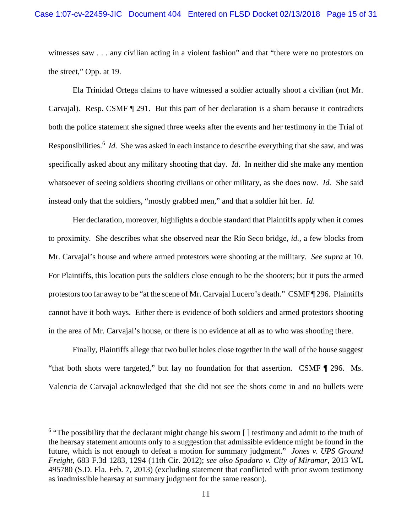witnesses saw . . . any civilian acting in a violent fashion" and that "there were no protestors on the street," Opp. at 19.

Ela Trinidad Ortega claims to have witnessed a soldier actually shoot a civilian (not Mr. Carvajal). Resp. CSMF ¶ 291. But this part of her declaration is a sham because it contradicts both the police statement she signed three weeks after the events and her testimony in the Trial of Responsibilities.<sup>[6](#page-14-0)</sup> *Id.* She was asked in each instance to describe everything that she saw, and was specifically asked about any military shooting that day. *Id*. In neither did she make any mention whatsoever of seeing soldiers shooting civilians or other military, as she does now. *Id.* She said instead only that the soldiers, "mostly grabbed men," and that a soldier hit her. *Id*.

Her declaration, moreover, highlights a double standard that Plaintiffs apply when it comes to proximity. She describes what she observed near the Río Seco bridge, *id.*, a few blocks from Mr. Carvajal's house and where armed protestors were shooting at the military. *See supra* at 10. For Plaintiffs, this location puts the soldiers close enough to be the shooters; but it puts the armed protestorstoo far away to be "at the scene of Mr. Carvajal Lucero's death." CSMF ¶ 296. Plaintiffs cannot have it both ways. Either there is evidence of both soldiers and armed protestors shooting in the area of Mr. Carvajal's house, or there is no evidence at all as to who was shooting there.

Finally, Plaintiffs allege that two bullet holes close together in the wall of the house suggest "that both shots were targeted," but lay no foundation for that assertion. CSMF ¶ 296. Ms. Valencia de Carvajal acknowledged that she did not see the shots come in and no bullets were

<span id="page-14-0"></span> $6$  "The possibility that the declarant might change his sworn  $\lceil \cdot \rceil$  testimony and admit to the truth of the hearsay statement amounts only to a suggestion that admissible evidence might be found in the future, which is not enough to defeat a motion for summary judgment." *Jones v. UPS Ground Freight*, 683 F.3d 1283, 1294 (11th Cir. 2012); *see also Spadaro v. City of Miramar*, 2013 WL 495780 (S.D. Fla. Feb. 7, 2013) (excluding statement that conflicted with prior sworn testimony as inadmissible hearsay at summary judgment for the same reason).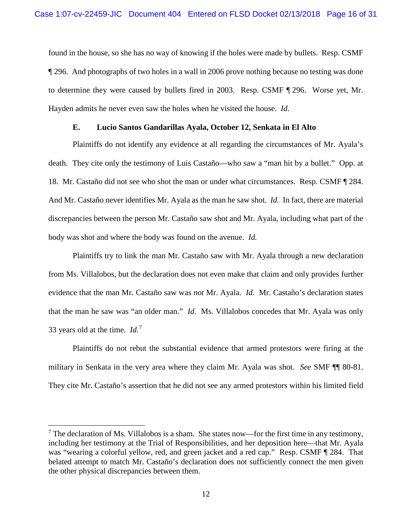found in the house, so she has no way of knowing if the holes were made by bullets. Resp. CSMF ¶ 296. And photographs of two holes in a wall in 2006 prove nothing because no testing was done to determine they were caused by bullets fired in 2003. Resp. CSMF ¶ 296. Worse yet, Mr. Hayden admits he never even saw the holes when he visited the house. *Id.*

#### **E. Lucio Santos Gandarillas Ayala, October 12, Senkata in El Alto**

<span id="page-15-0"></span>Plaintiffs do not identify any evidence at all regarding the circumstances of Mr. Ayala's death. They cite only the testimony of Luis Castaño—who saw a "man hit by a bullet." Opp. at 18. Mr. Castaño did not see who shot the man or under what circumstances. Resp. CSMF ¶ 284. And Mr. Castaño never identifies Mr. Ayala as the man he saw shot. *Id.* In fact, there are material discrepancies between the person Mr. Castaño saw shot and Mr. Ayala, including what part of the body was shot and where the body was found on the avenue. *Id.*

Plaintiffs try to link the man Mr. Castaño saw with Mr. Ayala through a new declaration from Ms. Villalobos, but the declaration does not even make that claim and only provides further evidence that the man Mr. Castaño saw was *not* Mr. Ayala. *Id.* Mr. Castaño's declaration states that the man he saw was "an older man." *Id.* Ms. Villalobos concedes that Mr. Ayala was only 33 years old at the time. *Id.*[7](#page-15-1)

Plaintiffs do not rebut the substantial evidence that armed protestors were firing at the military in Senkata in the very area where they claim Mr. Ayala was shot. *See* SMF ¶¶ 80-81. They cite Mr. Castaño's assertion that he did not see any armed protestors within his limited field

<span id="page-15-1"></span> $<sup>7</sup>$  The declaration of Ms. Villalobos is a sham. She states now—for the first time in any testimony,</sup> including her testimony at the Trial of Responsibilities, and her deposition here—that Mr. Ayala was "wearing a colorful yellow, red, and green jacket and a red cap." Resp. CSMF ¶ 284. That belated attempt to match Mr. Castaño's declaration does not sufficiently connect the men given the other physical discrepancies between them.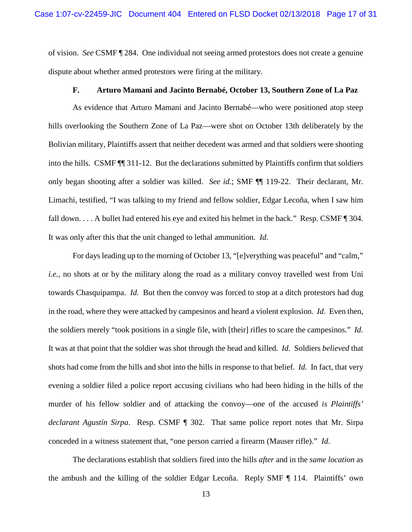of vision. *See* CSMF ¶ 284. One individual not seeing armed protestors does not create a genuine dispute about whether armed protestors were firing at the military.

## **F. Arturo Mamani and Jacinto Bernabé, October 13, Southern Zone of La Paz**

<span id="page-16-0"></span>As evidence that Arturo Mamani and Jacinto Bernabé—who were positioned atop steep hills overlooking the Southern Zone of La Paz—were shot on October 13th deliberately by the Bolivian military, Plaintiffs assert that neither decedent was armed and that soldiers were shooting into the hills. CSMF ¶¶ 311-12. But the declarations submitted by Plaintiffs confirm that soldiers only began shooting after a soldier was killed. *See id.*; SMF ¶¶ 119-22. Their declarant, Mr. Limachi, testified, "I was talking to my friend and fellow soldier, Edgar Lecoña, when I saw him fall down. . . . A bullet had entered his eye and exited his helmet in the back." Resp. CSMF ¶ 304. It was only after this that the unit changed to lethal ammunition. *Id*.

For days leading up to the morning of October 13, "[e]verything was peaceful" and "calm," *i.e.*, no shots at or by the military along the road as a military convoy travelled west from Uni towards Chasquipampa. *Id.* But then the convoy was forced to stop at a ditch protestors had dug in the road, where they were attacked by campesinos and heard a violent explosion. *Id.* Even then, the soldiers merely "took positions in a single file, with [their] rifles to scare the campesinos." *Id.* It was at that point that the soldier was shot through the head and killed. *Id.* Soldiers *believed* that shots had come from the hills and shot into the hills in response to that belief. *Id.* In fact, that very evening a soldier filed a police report accusing civilians who had been hiding in the hills of the murder of his fellow soldier and of attacking the convoy—one of the accused *is Plaintiffs' declarant Agustín Sirpa*. Resp. CSMF ¶ 302. That same police report notes that Mr. Sirpa conceded in a witness statement that, "one person carried a firearm (Mauser rifle)." *Id*.

The declarations establish that soldiers fired into the hills *after* and in the *same location* as the ambush and the killing of the soldier Edgar Lecoña. Reply SMF ¶ 114. Plaintiffs' own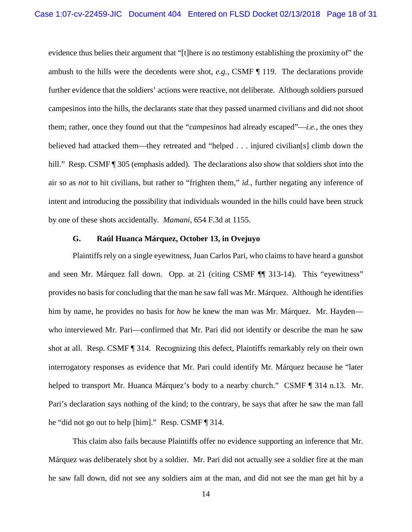evidence thus belies their argument that "[t]here is no testimony establishing the proximity of" the ambush to the hills were the decedents were shot, *e.g.*, CSMF ¶ 119. The declarations provide further evidence that the soldiers' actions were reactive, not deliberate. Although soldiers pursued campesinos into the hills, the declarants state that they passed unarmed civilians and did not shoot them; rather, once they found out that the "*campesinos* had already escaped"—*i.e.*, the ones they believed had attacked them—they retreated and "helped . . . injured civilian[s] climb down the hill." Resp. CSMF ¶ 305 (emphasis added). The declarations also show that soldiers shot into the air so as *not* to hit civilians, but rather to "frighten them," *id.*, further negating any inference of intent and introducing the possibility that individuals wounded in the hills could have been struck by one of these shots accidentally. *Mamani*, 654 F.3d at 1155.

## **G. Raúl Huanca Márquez, October 13, in Ovejuyo**

<span id="page-17-0"></span>Plaintiffs rely on a single eyewitness, Juan Carlos Pari, who claims to have heard a gunshot and seen Mr. Márquez fall down. Opp. at 21 (citing CSMF ¶¶ 313-14). This "eyewitness" provides no basis for concluding that the man he saw fall was Mr. Márquez. Although he identifies him by name, he provides no basis for *how* he knew the man was Mr. Márquez. Mr. Hayden who interviewed Mr. Pari—confirmed that Mr. Pari did not identify or describe the man he saw shot at all. Resp. CSMF ¶ 314. Recognizing this defect, Plaintiffs remarkably rely on their own interrogatory responses as evidence that Mr. Pari could identify Mr. Márquez because he "later helped to transport Mr. Huanca Márquez's body to a nearby church." CSMF ¶ 314 n.13. Mr. Pari's declaration says nothing of the kind; to the contrary, he says that after he saw the man fall he "did not go out to help [him]." Resp. CSMF ¶ 314.

This claim also fails because Plaintiffs offer no evidence supporting an inference that Mr. Márquez was deliberately shot by a soldier. Mr. Pari did not actually see a soldier fire at the man he saw fall down, did not see any soldiers aim at the man, and did not see the man get hit by a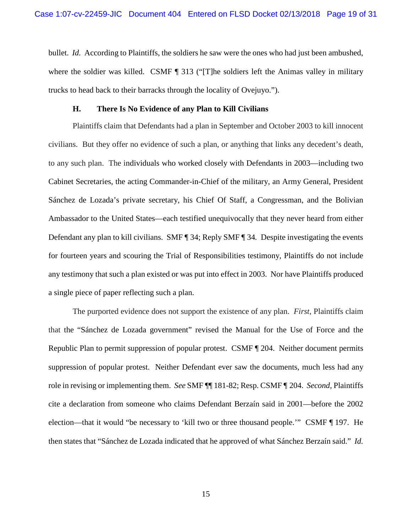bullet. *Id.* According to Plaintiffs, the soldiers he saw were the ones who had just been ambushed, where the soldier was killed. CSMF ¶ 313 ("[T]he soldiers left the Animas valley in military trucks to head back to their barracks through the locality of Ovejuyo.").

#### **H. There Is No Evidence of any Plan to Kill Civilians**

<span id="page-18-0"></span>Plaintiffs claim that Defendants had a plan in September and October 2003 to kill innocent civilians. But they offer no evidence of such a plan, or anything that links any decedent's death, to any such plan. The individuals who worked closely with Defendants in 2003—including two Cabinet Secretaries, the acting Commander-in-Chief of the military, an Army General, President Sánchez de Lozada's private secretary, his Chief Of Staff, a Congressman, and the Bolivian Ambassador to the United States—each testified unequivocally that they never heard from either Defendant any plan to kill civilians. SMF ¶ 34; Reply SMF ¶ 34*.* Despite investigating the events for fourteen years and scouring the Trial of Responsibilities testimony, Plaintiffs do not include any testimony that such a plan existed or was put into effect in 2003. Nor have Plaintiffs produced a single piece of paper reflecting such a plan.

The purported evidence does not support the existence of any plan. *First*, Plaintiffs claim that the "Sánchez de Lozada government" revised the Manual for the Use of Force and the Republic Plan to permit suppression of popular protest. CSMF ¶ 204. Neither document permits suppression of popular protest. Neither Defendant ever saw the documents, much less had any role in revising or implementing them. *See* SMF ¶¶ 181-82; Resp. CSMF ¶ 204. *Second*, Plaintiffs cite a declaration from someone who claims Defendant Berzaín said in 2001—before the 2002 election—that it would "be necessary to 'kill two or three thousand people.'" CSMF ¶ 197. He then states that "Sánchez de Lozada indicated that he approved of what Sánchez Berzaín said." *Id.*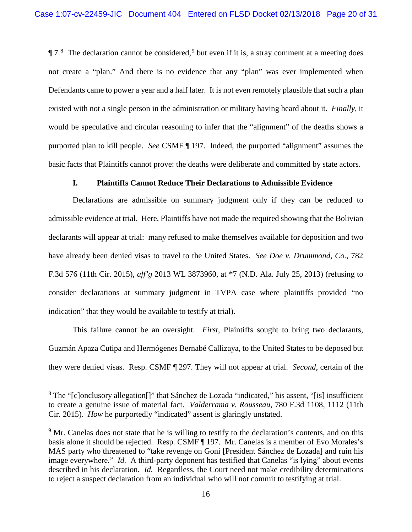$\P$  7.<sup>[8](#page-19-1)</sup> The declaration cannot be considered,<sup>[9](#page-19-2)</sup> but even if it is, a stray comment at a meeting does not create a "plan." And there is no evidence that any "plan" was ever implemented when Defendants came to power a year and a half later. It is not even remotely plausible that such a plan existed with not a single person in the administration or military having heard about it. *Finally*, it would be speculative and circular reasoning to infer that the "alignment" of the deaths shows a purported plan to kill people. *See* CSMF ¶ 197. Indeed, the purported "alignment" assumes the basic facts that Plaintiffs cannot prove: the deaths were deliberate and committed by state actors.

## **I. Plaintiffs Cannot Reduce Their Declarations to Admissible Evidence**

<span id="page-19-0"></span>Declarations are admissible on summary judgment only if they can be reduced to admissible evidence at trial. Here, Plaintiffs have not made the required showing that the Bolivian declarants will appear at trial: many refused to make themselves available for deposition and two have already been denied visas to travel to the United States. *See Doe v. Drummond, Co.*, 782 F.3d 576 (11th Cir. 2015), *aff'g* 2013 WL 3873960, at \*7 (N.D. Ala. July 25, 2013) (refusing to consider declarations at summary judgment in TVPA case where plaintiffs provided "no indication" that they would be available to testify at trial).

This failure cannot be an oversight. *First*, Plaintiffs sought to bring two declarants, Guzmán Apaza Cutipa and Hermógenes Bernabé Callizaya, to the United States to be deposed but they were denied visas. Resp. CSMF ¶ 297. They will not appear at trial. *Second*, certain of the

<span id="page-19-1"></span><sup>&</sup>lt;sup>8</sup> The "[c]onclusory allegation<sup>[]"</sup> that Sánchez de Lozada "indicated," his assent, "[is] insufficient to create a genuine issue of material fact. *Valderrama v. Rousseau*, 780 F.3d 1108, 1112 (11th Cir. 2015). *How* he purportedly "indicated" assent is glaringly unstated.

<span id="page-19-2"></span><sup>&</sup>lt;sup>9</sup> Mr. Canelas does not state that he is willing to testify to the declaration's contents, and on this basis alone it should be rejected. Resp. CSMF ¶ 197. Mr. Canelas is a member of Evo Morales's MAS party who threatened to "take revenge on Goni [President Sánchez de Lozada] and ruin his image everywhere." *Id.* A third-party deponent has testified that Canelas "is lying" about events described in his declaration. *Id.* Regardless, the Court need not make credibility determinations to reject a suspect declaration from an individual who will not commit to testifying at trial.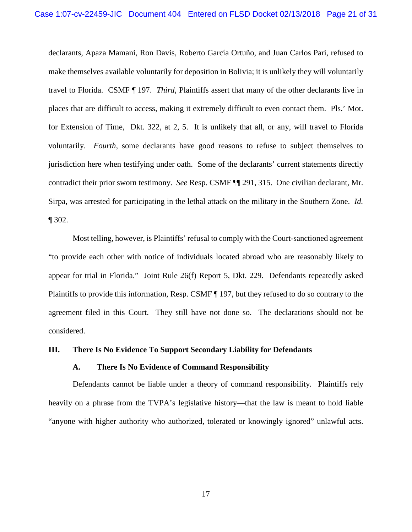declarants, Apaza Mamani, Ron Davis, Roberto García Ortuño, and Juan Carlos Pari, refused to make themselves available voluntarily for deposition in Bolivia; it is unlikely they will voluntarily travel to Florida. CSMF ¶ 197. *Third*, Plaintiffs assert that many of the other declarants live in places that are difficult to access, making it extremely difficult to even contact them. Pls.' Mot. for Extension of Time, Dkt. 322, at 2, 5. It is unlikely that all, or any, will travel to Florida voluntarily. *Fourth*, some declarants have good reasons to refuse to subject themselves to jurisdiction here when testifying under oath. Some of the declarants' current statements directly contradict their prior sworn testimony. *See* Resp. CSMF ¶¶ 291, 315. One civilian declarant, Mr. Sirpa, was arrested for participating in the lethal attack on the military in the Southern Zone. *Id.*  ¶ 302.

Most telling, however, is Plaintiffs' refusal to comply with the Court-sanctioned agreement "to provide each other with notice of individuals located abroad who are reasonably likely to appear for trial in Florida." Joint Rule 26(f) Report 5, Dkt. 229. Defendants repeatedly asked Plaintiffs to provide this information, Resp. CSMF ¶ 197, but they refused to do so contrary to the agreement filed in this Court. They still have not done so. The declarations should not be considered.

#### <span id="page-20-1"></span><span id="page-20-0"></span>**III. There Is No Evidence To Support Secondary Liability for Defendants**

#### **A. There Is No Evidence of Command Responsibility**

Defendants cannot be liable under a theory of command responsibility. Plaintiffs rely heavily on a phrase from the TVPA's legislative history—that the law is meant to hold liable "anyone with higher authority who authorized, tolerated or knowingly ignored" unlawful acts.

17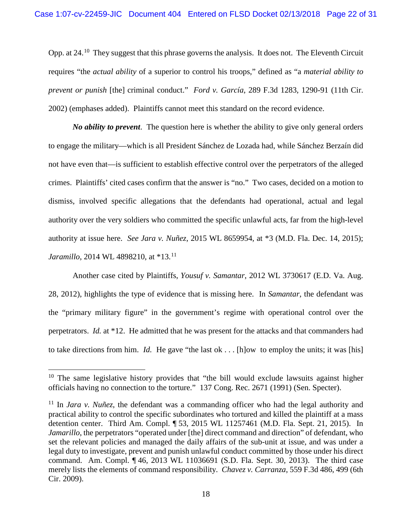Opp. at 24.<sup>[10](#page-21-0)</sup> They suggest that this phrase governs the analysis. It does not. The Eleventh Circuit requires "the *actual ability* of a superior to control his troops," defined as "a *material ability to prevent or punish* [the] criminal conduct." *Ford v. García*, 289 F.3d 1283, 1290-91 (11th Cir. 2002) (emphases added). Plaintiffs cannot meet this standard on the record evidence.

*No ability to prevent*. The question here is whether the ability to give only general orders to engage the military—which is all President Sánchez de Lozada had, while Sánchez Berzaín did not have even that—is sufficient to establish effective control over the perpetrators of the alleged crimes. Plaintiffs' cited cases confirm that the answer is "no." Two cases, decided on a motion to dismiss, involved specific allegations that the defendants had operational, actual and legal authority over the very soldiers who committed the specific unlawful acts, far from the high-level authority at issue here. *See Jara v. Nuñez*, 2015 WL 8659954, at \*3 (M.D. Fla. Dec. 14, 2015); *Jaramillo*, 2014 WL 4898210, at \*13.<sup>[11](#page-21-1)</sup>

Another case cited by Plaintiffs, *Yousuf v. Samantar*, 2012 WL 3730617 (E.D. Va. Aug. 28, 2012), highlights the type of evidence that is missing here. In *Samantar*, the defendant was the "primary military figure" in the government's regime with operational control over the perpetrators. *Id.* at \*12. He admitted that he was present for the attacks and that commanders had to take directions from him. *Id.* He gave "the last ok . . . [h]ow to employ the units; it was [his]

<span id="page-21-0"></span> $10$  The same legislative history provides that "the bill would exclude lawsuits against higher officials having no connection to the torture." 137 Cong. Rec. 2671 (1991) (Sen. Specter).

<span id="page-21-1"></span><sup>11</sup> In *Jara v. Nuñez*, the defendant was a commanding officer who had the legal authority and practical ability to control the specific subordinates who tortured and killed the plaintiff at a mass detention center. Third Am. Compl. ¶ 53, 2015 WL 11257461 (M.D. Fla. Sept. 21, 2015). In *Jamarillo*, the perpetrators "operated under [the] direct command and direction" of defendant, who set the relevant policies and managed the daily affairs of the sub-unit at issue, and was under a legal duty to investigate, prevent and punish unlawful conduct committed by those under his direct command. Am. Compl. ¶ 46, 2013 WL 11036691 (S.D. Fla. Sept. 30, 2013). The third case merely lists the elements of command responsibility. *Chavez v. Carranza*, 559 F.3d 486, 499 (6th Cir. 2009).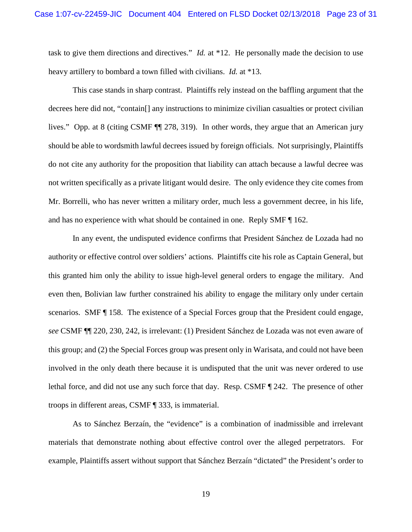task to give them directions and directives." *Id.* at \*12. He personally made the decision to use heavy artillery to bombard a town filled with civilians. *Id.* at \*13.

This case stands in sharp contrast. Plaintiffs rely instead on the baffling argument that the decrees here did not, "contain[] any instructions to minimize civilian casualties or protect civilian lives." Opp. at 8 (citing CSMF ¶¶ 278, 319). In other words, they argue that an American jury should be able to wordsmith lawful decrees issued by foreign officials. Not surprisingly, Plaintiffs do not cite any authority for the proposition that liability can attach because a lawful decree was not written specifically as a private litigant would desire. The only evidence they cite comes from Mr. Borrelli, who has never written a military order, much less a government decree, in his life, and has no experience with what should be contained in one. Reply SMF ¶ 162.

In any event, the undisputed evidence confirms that President Sánchez de Lozada had no authority or effective control over soldiers' actions. Plaintiffs cite his role as Captain General, but this granted him only the ability to issue high-level general orders to engage the military. And even then, Bolivian law further constrained his ability to engage the military only under certain scenarios. SMF ¶ 158. The existence of a Special Forces group that the President could engage, *see* CSMF ¶¶ 220, 230, 242, is irrelevant: (1) President Sánchez de Lozada was not even aware of this group; and (2) the Special Forces group was present only in Warisata, and could not have been involved in the only death there because it is undisputed that the unit was never ordered to use lethal force, and did not use any such force that day. Resp. CSMF ¶ 242. The presence of other troops in different areas, CSMF ¶ 333, is immaterial.

As to Sánchez Berzaín, the "evidence" is a combination of inadmissible and irrelevant materials that demonstrate nothing about effective control over the alleged perpetrators. For example, Plaintiffs assert without support that Sánchez Berzaín "dictated" the President's order to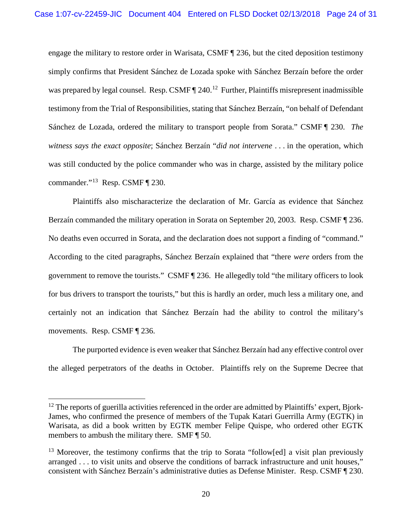engage the military to restore order in Warisata, CSMF ¶ 236, but the cited deposition testimony simply confirms that President Sánchez de Lozada spoke with Sánchez Berzaín before the order was prepared by legal counsel. Resp. CSMF  $\P$  240.<sup>12</sup> Further, Plaintiffs misrepresent inadmissible testimony from the Trial of Responsibilities, stating that Sánchez Berzaín, "on behalf of Defendant Sánchez de Lozada, ordered the military to transport people from Sorata." CSMF ¶ 230. *The witness says the exact opposite*; Sánchez Berzaín "*did not intervene* . . . in the operation, which was still conducted by the police commander who was in charge, assisted by the military police commander."[13](#page-23-1) Resp. CSMF ¶ 230.

Plaintiffs also mischaracterize the declaration of Mr. García as evidence that Sánchez Berzaín commanded the military operation in Sorata on September 20, 2003. Resp. CSMF ¶ 236. No deaths even occurred in Sorata, and the declaration does not support a finding of "command." According to the cited paragraphs, Sánchez Berzaín explained that "there *were* orders from the government to remove the tourists." CSMF ¶ 236. He allegedly told "the military officers to look for bus drivers to transport the tourists," but this is hardly an order, much less a military one, and certainly not an indication that Sánchez Berzaín had the ability to control the military's movements. Resp. CSMF ¶ 236.

The purported evidence is even weaker that Sánchez Berzaín had any effective control over the alleged perpetrators of the deaths in October. Plaintiffs rely on the Supreme Decree that

<span id="page-23-0"></span> $12$  The reports of guerilla activities referenced in the order are admitted by Plaintiffs' expert, Bjork-James, who confirmed the presence of members of the Tupak Katari Guerrilla Army (EGTK) in Warisata, as did a book written by EGTK member Felipe Quispe, who ordered other EGTK members to ambush the military there. SMF ¶ 50.

<span id="page-23-1"></span><sup>&</sup>lt;sup>13</sup> Moreover, the testimony confirms that the trip to Sorata "follow[ed] a visit plan previously arranged . . . to visit units and observe the conditions of barrack infrastructure and unit houses," consistent with Sánchez Berzaín's administrative duties as Defense Minister. Resp. CSMF ¶ 230.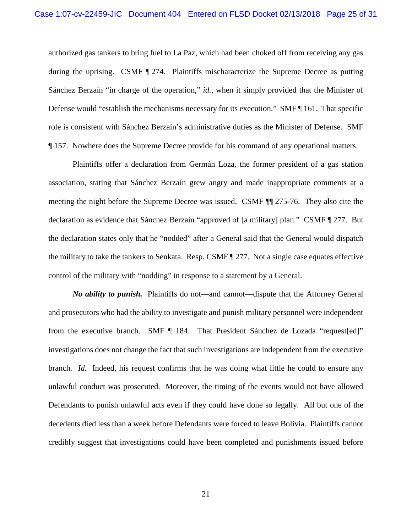authorized gas tankers to bring fuel to La Paz, which had been choked off from receiving any gas during the uprising. CSMF ¶ 274. Plaintiffs mischaracterize the Supreme Decree as putting Sánchez Berzaín "in charge of the operation," *id.*, when it simply provided that the Minister of Defense would "establish the mechanisms necessary for its execution." SMF ¶ 161. That specific role is consistent with Sánchez Berzaín's administrative duties as the Minister of Defense. SMF ¶ 157. Nowhere does the Supreme Decree provide for his command of any operational matters.

Plaintiffs offer a declaration from Germán Loza, the former president of a gas station association, stating that Sánchez Berzaín grew angry and made inappropriate comments at a meeting the night before the Supreme Decree was issued. CSMF ¶¶ 275-76. They also cite the declaration as evidence that Sánchez Berzaín "approved of [a military] plan." CSMF ¶ 277. But the declaration states only that he "nodded" after a General said that the General would dispatch the military to take the tankers to Senkata. Resp. CSMF ¶ 277. Not a single case equates effective control of the military with "nodding" in response to a statement by a General.

*No ability to punish.* Plaintiffs do not—and cannot—dispute that the Attorney General and prosecutors who had the ability to investigate and punish military personnel were independent from the executive branch. SMF ¶ 184.That President Sánchez de Lozada "request[ed]" investigations does not change the fact that such investigations are independent from the executive branch. *Id.* Indeed, his request confirms that he was doing what little he could to ensure any unlawful conduct was prosecuted. Moreover, the timing of the events would not have allowed Defendants to punish unlawful acts even if they could have done so legally. All but one of the decedents died less than a week before Defendants were forced to leave Bolivia. Plaintiffs cannot credibly suggest that investigations could have been completed and punishments issued before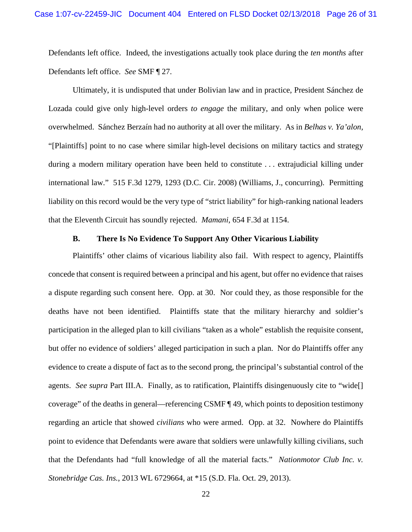Defendants left office. Indeed, the investigations actually took place during the *ten months* after Defendants left office. *See* SMF ¶ 27.

Ultimately, it is undisputed that under Bolivian law and in practice, President Sánchez de Lozada could give only high-level orders *to engage* the military, and only when police were overwhelmed. Sánchez Berzaín had no authority at all over the military. As in *Belhas v. Ya'alon,* "[Plaintiffs] point to no case where similar high-level decisions on military tactics and strategy during a modern military operation have been held to constitute . . . extrajudicial killing under international law." 515 F.3d 1279, 1293 (D.C. Cir. 2008) (Williams, J., concurring). Permitting liability on this record would be the very type of "strict liability" for high-ranking national leaders that the Eleventh Circuit has soundly rejected. *Mamani*, 654 F.3d at 1154.

## **B. There Is No Evidence To Support Any Other Vicarious Liability**

<span id="page-25-0"></span>Plaintiffs' other claims of vicarious liability also fail. With respect to agency, Plaintiffs concede that consent is required between a principal and his agent, but offer no evidence that raises a dispute regarding such consent here. Opp. at 30. Nor could they, as those responsible for the deaths have not been identified. Plaintiffs state that the military hierarchy and soldier's participation in the alleged plan to kill civilians "taken as a whole" establish the requisite consent, but offer no evidence of soldiers' alleged participation in such a plan. Nor do Plaintiffs offer any evidence to create a dispute of fact as to the second prong, the principal's substantial control of the agents. *See supra* Part III.A. Finally, as to ratification, Plaintiffs disingenuously cite to "wide[] coverage" of the deaths in general—referencing CSMF ¶ 49, which points to deposition testimony regarding an article that showed *civilians* who were armed. Opp. at 32. Nowhere do Plaintiffs point to evidence that Defendants were aware that soldiers were unlawfully killing civilians, such that the Defendants had "full knowledge of all the material facts." *Nationmotor Club Inc. v. Stonebridge Cas. Ins.*, 2013 WL 6729664, at \*15 (S.D. Fla. Oct. 29, 2013).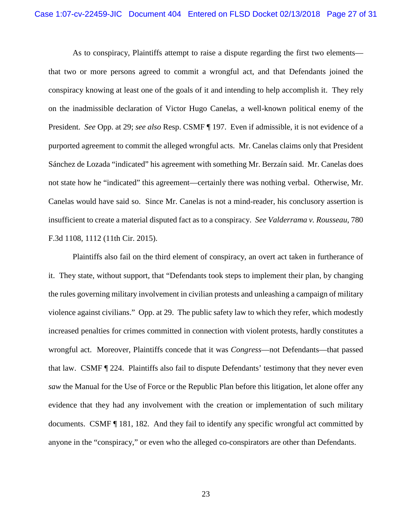As to conspiracy, Plaintiffs attempt to raise a dispute regarding the first two elements that two or more persons agreed to commit a wrongful act, and that Defendants joined the conspiracy knowing at least one of the goals of it and intending to help accomplish it. They rely on the inadmissible declaration of Victor Hugo Canelas, a well-known political enemy of the President. *See* Opp. at 29; *see also* Resp. CSMF ¶ 197. Even if admissible, it is not evidence of a purported agreement to commit the alleged wrongful acts. Mr. Canelas claims only that President Sánchez de Lozada "indicated" his agreement with something Mr. Berzaín said. Mr. Canelas does not state how he "indicated" this agreement—certainly there was nothing verbal. Otherwise, Mr. Canelas would have said so. Since Mr. Canelas is not a mind-reader, his conclusory assertion is insufficient to create a material disputed fact as to a conspiracy. *See Valderrama v. Rousseau*, 780 F.3d 1108, 1112 (11th Cir. 2015).

Plaintiffs also fail on the third element of conspiracy, an overt act taken in furtherance of it. They state, without support, that "Defendants took steps to implement their plan, by changing the rules governing military involvement in civilian protests and unleashing a campaign of military violence against civilians." Opp. at 29. The public safety law to which they refer, which modestly increased penalties for crimes committed in connection with violent protests, hardly constitutes a wrongful act. Moreover, Plaintiffs concede that it was *Congress*—not Defendants—that passed that law. CSMF ¶ 224. Plaintiffs also fail to dispute Defendants' testimony that they never even *saw* the Manual for the Use of Force or the Republic Plan before this litigation, let alone offer any evidence that they had any involvement with the creation or implementation of such military documents. CSMF ¶ 181, 182. And they fail to identify any specific wrongful act committed by anyone in the "conspiracy," or even who the alleged co-conspirators are other than Defendants.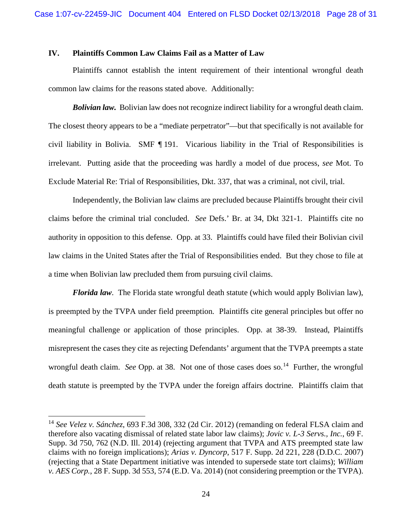## <span id="page-27-0"></span>**IV. Plaintiffs Common Law Claims Fail as a Matter of Law**

Plaintiffs cannot establish the intent requirement of their intentional wrongful death common law claims for the reasons stated above. Additionally:

*Bolivian law.* Bolivian law does not recognize indirect liability for a wrongful death claim. The closest theory appears to be a "mediate perpetrator"—but that specifically is not available for civil liability in Bolivia. SMF ¶ 191. Vicarious liability in the Trial of Responsibilities is irrelevant. Putting aside that the proceeding was hardly a model of due process, *see* Mot. To Exclude Material Re: Trial of Responsibilities, Dkt. 337, that was a criminal, not civil, trial.

Independently, the Bolivian law claims are precluded because Plaintiffs brought their civil claims before the criminal trial concluded. *See* Defs.' Br. at 34, Dkt 321-1. Plaintiffs cite no authority in opposition to this defense. Opp. at 33. Plaintiffs could have filed their Bolivian civil law claims in the United States after the Trial of Responsibilities ended. But they chose to file at a time when Bolivian law precluded them from pursuing civil claims.

*Florida law*. The Florida state wrongful death statute (which would apply Bolivian law), is preempted by the TVPA under field preemption*.* Plaintiffs cite general principles but offer no meaningful challenge or application of those principles. Opp. at 38-39. Instead, Plaintiffs misrepresent the cases they cite as rejecting Defendants' argument that the TVPA preempts a state wrongful death claim. *See* Opp. at 38. Not one of those cases does so.<sup>[14](#page-27-1)</sup> Further, the wrongful death statute is preempted by the TVPA under the foreign affairs doctrine*.* Plaintiffs claim that

<span id="page-27-1"></span> <sup>14</sup> *See Velez v. Sánchez*, 693 F.3d 308, 332 (2d Cir. 2012) (remanding on federal FLSA claim and therefore also vacating dismissal of related state labor law claims); *Jovic v. L-3 Servs., Inc.*, 69 F. Supp. 3d 750, 762 (N.D. Ill. 2014) (rejecting argument that TVPA and ATS preempted state law claims with no foreign implications); *Arias v. Dyncorp*, 517 F. Supp. 2d 221, 228 (D.D.C. 2007) (rejecting that a State Department initiative was intended to supersede state tort claims); *William v. AES Corp.*, 28 F. Supp. 3d 553, 574 (E.D. Va. 2014) (not considering preemption or the TVPA).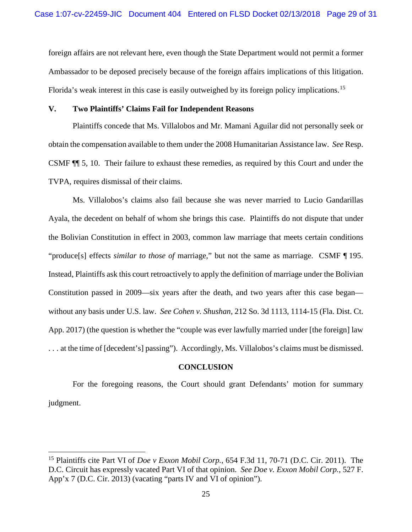foreign affairs are not relevant here, even though the State Department would not permit a former Ambassador to be deposed precisely because of the foreign affairs implications of this litigation. Florida's weak interest in this case is easily outweighed by its foreign policy implications.<sup>[15](#page-28-2)</sup>

## <span id="page-28-0"></span>**V. Two Plaintiffs' Claims Fail for Independent Reasons**

Plaintiffs concede that Ms. Villalobos and Mr. Mamani Aguilar did not personally seek or obtain the compensation available to them under the 2008 Humanitarian Assistance law. *See* Resp. CSMF ¶¶ 5, 10. Their failure to exhaust these remedies, as required by this Court and under the TVPA, requires dismissal of their claims.

Ms. Villalobos's claims also fail because she was never married to Lucio Gandarillas Ayala, the decedent on behalf of whom she brings this case. Plaintiffs do not dispute that under the Bolivian Constitution in effect in 2003, common law marriage that meets certain conditions "produce[s] effects *similar to those of* marriage," but not the same as marriage. CSMF ¶ 195. Instead, Plaintiffs ask this court retroactively to apply the definition of marriage under the Bolivian Constitution passed in 2009—six years after the death, and two years after this case began without any basis under U.S. law. *See Cohen v. Shushan*, 212 So. 3d 1113, 1114-15 (Fla. Dist. Ct. App. 2017) (the question is whether the "couple was ever lawfully married under [the foreign] law . . . at the time of [decedent's] passing"). Accordingly, Ms. Villalobos's claims must be dismissed.

#### **CONCLUSION**

<span id="page-28-1"></span>For the foregoing reasons, the Court should grant Defendants' motion for summary judgment.

<span id="page-28-2"></span> <sup>15</sup> Plaintiffs cite Part VI of *Doe v Exxon Mobil Corp.*, 654 F.3d 11, 70-71 (D.C. Cir. 2011). The D.C. Circuit has expressly vacated Part VI of that opinion. *See Doe v. Exxon Mobil Corp.*, 527 F. App'x 7 (D.C. Cir. 2013) (vacating "parts IV and VI of opinion").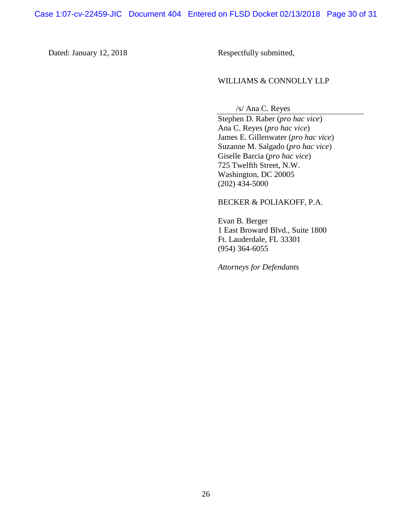Dated: January 12, 2018 Respectfully submitted,

## WILLIAMS & CONNOLLY LLP

/s/ Ana C. Reyes

Stephen D. Raber (*pro hac vice*) Ana C. Reyes (*pro hac vice*) James E. Gillenwater (*pro hac vice*) Suzanne M. Salgado (*pro hac vice*) Giselle Barcia (*pro hac vice*) 725 Twelfth Street, N.W. Washington, DC 20005 (202) 434-5000

#### BECKER & POLIAKOFF, P.A.

Evan B. Berger 1 East Broward Blvd., Suite 1800 Ft. Lauderdale, FL 33301 (954) 364-6055

*Attorneys for Defendants*